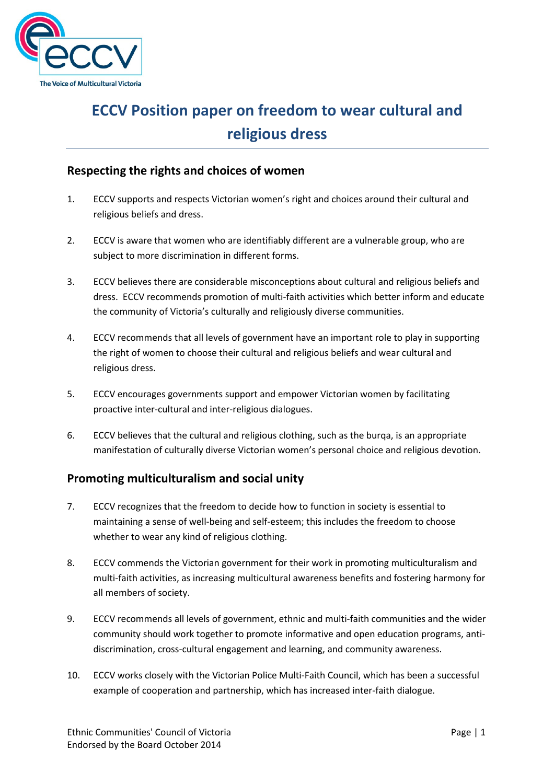

## ECCV Position paper on freedom to wear cultural and religious dress

## Respecting the rights and choices of women

- 1. ECCV supports and respects Victorian women's right and choices around their cultural and religious beliefs and dress.
- 2. ECCV is aware that women who are identifiably different are a vulnerable group, who are subject to more discrimination in different forms.
- 3. ECCV believes there are considerable misconceptions about cultural and religious beliefs and dress. ECCV recommends promotion of multi-faith activities which better inform and educate the community of Victoria's culturally and religiously diverse communities.
- 4. ECCV recommends that all levels of government have an important role to play in supporting the right of women to choose their cultural and religious beliefs and wear cultural and religious dress.
- 5. ECCV encourages governments support and empower Victorian women by facilitating proactive inter-cultural and inter-religious dialogues.
- 6. ECCV believes that the cultural and religious clothing, such as the burqa, is an appropriate manifestation of culturally diverse Victorian women's personal choice and religious devotion.

## Promoting multiculturalism and social unity

- 7. ECCV recognizes that the freedom to decide how to function in society is essential to maintaining a sense of well-being and self-esteem; this includes the freedom to choose whether to wear any kind of religious clothing.
- 8. ECCV commends the Victorian government for their work in promoting multiculturalism and multi-faith activities, as increasing multicultural awareness benefits and fostering harmony for all members of society.
- 9. ECCV recommends all levels of government, ethnic and multi-faith communities and the wider community should work together to promote informative and open education programs, antidiscrimination, cross-cultural engagement and learning, and community awareness.
- 10. ECCV works closely with the Victorian Police Multi-Faith Council, which has been a successful example of cooperation and partnership, which has increased inter-faith dialogue.